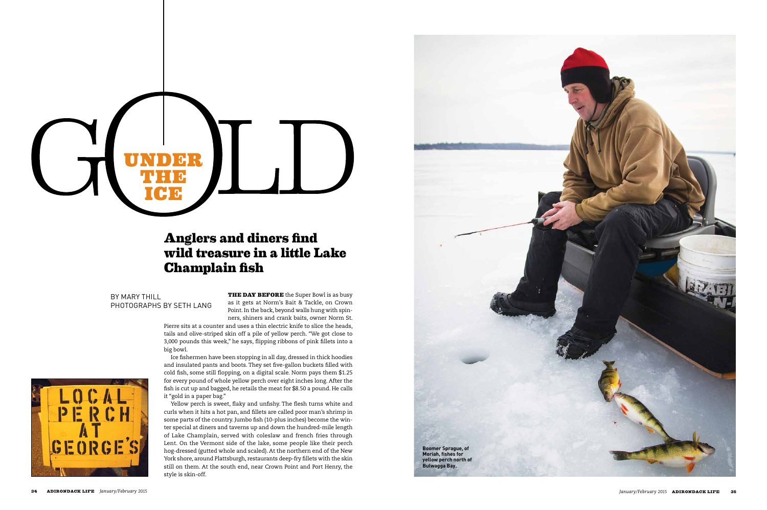**THE DAY BEFORE** the Super Bowl is as busy as it gets at Norm's Bait & Tackle, on Crown Point. In the back, beyond walls hung with spinners, shiners and crank baits, owner Norm St.

Pierre sits at a counter and uses a thin electric knife to slice the heads, tails and olive-striped skin off a pile of yellow perch. "We got close to 3,000 pounds this week," he says, flipping ribbons of pink fillets into a big bowl.

Ice fishermen have been stopping in all day, dressed in thick hoodies and insulated pants and boots. They set five-gallon buckets filled with cold fish, some still flopping, on a digital scale. Norm pays them \$1.25 for every pound of whole yellow perch over eight inches long. After the fish is cut up and bagged, he retails the meat for \$8.50 a pound. He calls it "gold in a paper bag."

Yellow perch is sweet, flaky and unfishy. The flesh turns white and curls when it hits a hot pan, and fillets are called poor man's shrimp in some parts of the country. Jumbo fish (10-plus inches) become the winter special at diners and taverns up and down the hundred-mile length of Lake Champlain, served with coleslaw and french fries through Lent. On the Vermont side of the lake, some people like their perch hog-dressed (gutted whole and scaled). At the northern end of the New York shore, around Plattsburgh, restaurants deep-fry fillets with the skin still on them. At the south end, near Crown Point and Port Henry, the style is skin-off.

# **Anglers and diners find wild treasure in a little Lake Champlain sh**

BY MARY THILL PHOTOGRAPHS BY SETH LANG





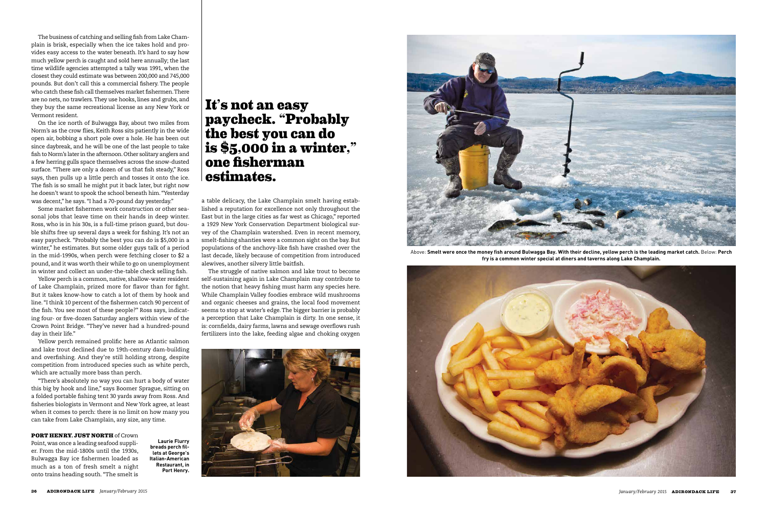The business of catching and selling fish from Lake Champlain is brisk, especially when the ice takes hold and provides easy access to the water beneath. It's hard to say how much yellow perch is caught and sold here annually; the last time wildlife agencies attempted a tally was 1991, when the closest they could estimate was between 200,000 and 745,000 pounds. But don't call this a commercial fishery. The people who catch these fish call themselves market fishermen. There are no nets, no trawlers. They use hooks, lines and grubs, and they buy the same recreational license as any New York or Vermont resident.

On the ice north of Bulwagga Bay, about two miles from Norm's as the crow flies, Keith Ross sits patiently in the wide open air, bobbing a short pole over a hole. He has been out since daybreak, and he will be one of the last people to take fish to Norm's later in the afternoon. Other solitary anglers and a few herring gulls space themselves across the snow-dusted surface. "There are only a dozen of us that fish steady," Ross says, then pulls up a little perch and tosses it onto the ice. The fish is so small he might put it back later, but right now he doesn't want to spook the school beneath him. "Yesterday was decent," he says. "I had a 70-pound day yesterday."

Some market fishermen work construction or other seasonal jobs that leave time on their hands in deep winter. Ross, who is in his 30s, is a full-time prison guard, but double shifts free up several days a week for fishing. It's not an easy paycheck. "Probably the best you can do is \$5,000 in a winter," he estimates. But some older guys talk of a period in the mid-1990s, when perch were fetching closer to \$2 a pound, and it was worth their while to go on unemployment in winter and collect an under-the-table check selling fish.

Yellow perch is a common, native, shallow-water resident of Lake Champlain, prized more for flavor than for fight. But it takes know-how to catch a lot of them by hook and line. "I think 10 percent of the fishermen catch 90 percent of the fish. You see most of these people?" Ross says, indicating four- or five-dozen Saturday anglers within view of the Crown Point Bridge. "They've never had a hundred-pound day in their life."



Above: Smelt were once the money fish around Bulwagga Bay. With their decline, yellow perch is the leading market catch. Below: Perch **fry is a common winter special at diners and taverns along Lake Champlain.**



Yellow perch remained prolific here as Atlantic salmon and lake trout declined due to 19th-century dam-building and overfishing. And they're still holding strong, despite competition from introduced species such as white perch, which are actually more bass than perch.

"There's absolutely no way you can hurt a body of water this big by hook and line," says Boomer Sprague, sitting on a folded portable fishing tent 30 yards away from Ross. And fisheries biologists in Vermont and New York agree, at least when it comes to perch: there is no limit on how many you can take from Lake Champlain, any size, any time.

### **PORT HENRY, JUST NORTH** of Crown

Point, was once a leading seafood supplier. From the mid-1800s until the 1930s, Bulwagga Bay ice fishermen loaded as much as a ton of fresh smelt a night onto trains heading south. "The smelt is

a table delicacy, the Lake Champlain smelt having established a reputation for excellence not only throughout the East but in the large cities as far west as Chicago," reported a 1929 New York Conservation Department biological survey of the Champlain watershed. Even in recent memory, smelt-fishing shanties were a common sight on the bay. But populations of the anchovy-like fish have crashed over the last decade, likely because of competition from introduced alewives, another silvery little baitfish.

The struggle of native salmon and lake trout to become self-sustaining again in Lake Champlain may contribute to the notion that heavy fishing must harm any species here. While Champlain Valley foodies embrace wild mushrooms and organic cheeses and grains, the local food movement seems to stop at water's edge. The bigger barrier is probably a perception that Lake Champlain is dirty. In one sense, it is: cornfields, dairy farms, lawns and sewage overflows rush fertilizers into the lake, feeding algae and choking oxygen



## **It's not an easy paycheck. "Probably the best you can do is \$5,000 in a winter," one fisherman estimates.**

**Laurie Flurry breads perch fillets at George's Italian-American Restaurant, in Port Henry.**